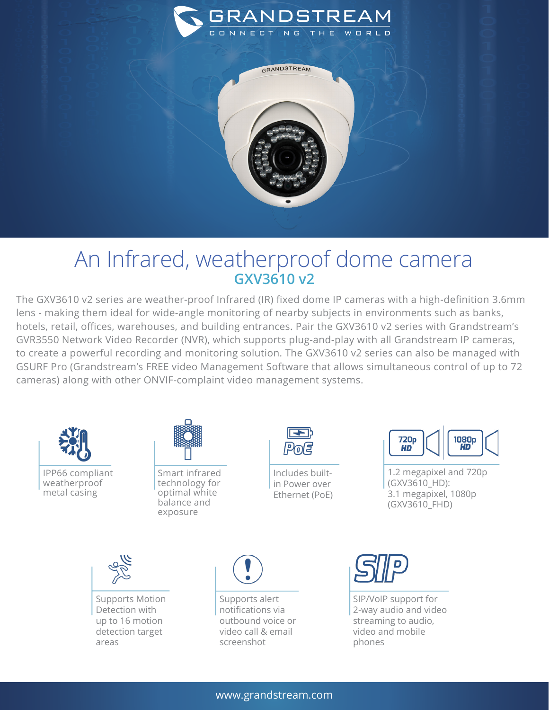

GRANDSTREAM



## An Infrared, weatherproof dome camera **GXV3610 v2**

The GXV3610 v2 series are weather-proof Infrared (IR) fixed dome IP cameras with a high-definition 3.6mm lens - making them ideal for wide-angle monitoring of nearby subjects in environments such as banks, hotels, retail, offices, warehouses, and building entrances. Pair the GXV3610 v2 series with Grandstream's GVR3550 Network Video Recorder (NVR), which supports plug-and-play with all Grandstream IP cameras, to create a powerful recording and monitoring solution. The GXV3610 v2 series can also be managed with GSURF Pro (Grandstream's FREE video Management Software that allows simultaneous control of up to 72 cameras) along with other ONVIF-complaint video management systems.